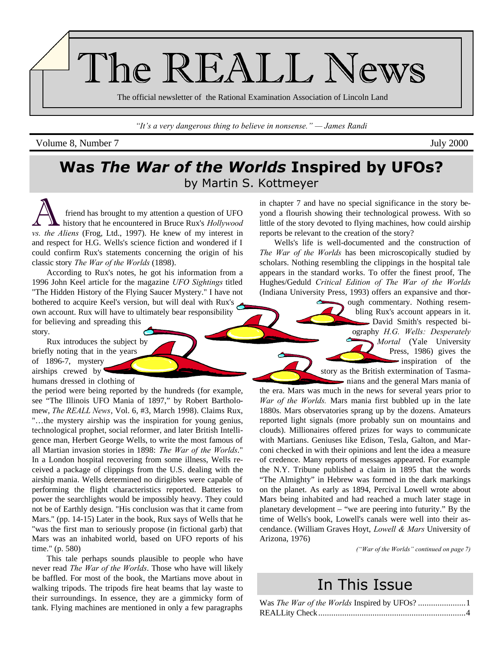

*"It's a very dangerous thing to believe in nonsense." — James Randi*

Volume 8, Number 7 July 2000

## **Was** *The War of the Worlds* **Inspired by UFOs?** by Martin S. Kottmeyer

friend has brought to my attention a question of UFO history that he encountered in Bruce Rux's *Hollywood vs. the Aliens* (Frog, Ltd., 1997). He knew of my interest in and respect for H.G. Wells's science fiction and wondered if I could confirm Rux's statements concerning the origin of his classic story *The War of the Worlds* (1898).

According to Rux's notes, he got his information from a 1996 John Keel article for the magazine *UFO Sightings* titled "The Hidden History of the Flying Saucer Mystery." I have not bothered to acquire Keel's version, but will deal with Rux's own account. Rux will have to ultimately bear responsibility for believing and spreading this story.

Rux introduces the subject by briefly noting that in the years of 1896-7, mystery airships crewed by

humans dressed in clothing of

the period were being reported by the hundreds (for example, see "The Illinois UFO Mania of 1897," by Robert Bartholomew, *The REALL News*, Vol. 6, #3, March 1998). Claims Rux, "…the mystery airship was the inspiration for young genius, technological prophet, social reformer, and later British Intelligence man, Herbert George Wells, to write the most famous of all Martian invasion stories in 1898: *The War of the Worlds*." In a London hospital recovering from some illness, Wells received a package of clippings from the U.S. dealing with the airship mania. Wells determined no dirigibles were capable of performing the flight characteristics reported. Batteries to power the searchlights would be impossibly heavy. They could not be of Earthly design. "His conclusion was that it came from Mars." (pp. 14-15) Later in the book, Rux says of Wells that he "was the first man to seriously propose (in fictional garb) that Mars was an inhabited world, based on UFO reports of his time." (p. 580)

This tale perhaps sounds plausible to people who have never read *The War of the Worlds*. Those who have will likely be baffled. For most of the book, the Martians move about in walking tripods. The tripods fire heat beams that lay waste to their surroundings. In essence, they are a gimmicky form of tank. Flying machines are mentioned in only a few paragraphs

in chapter 7 and have no special significance in the story beyond a flourish showing their technological prowess. With so little of the story devoted to flying machines, how could airship reports be relevant to the creation of the story?

Wells's life is well-documented and the construction of *The War of the Worlds* has been microscopically studied by scholars. Nothing resembling the clippings in the hospital tale appears in the standard works. To offer the finest proof, The Hughes/Geduld *Critical Edition of The War of the Worlds* (Indiana University Press, 1993) offers an expansive and thor-

> ough commentary. Nothing resembling Rux's account appears in it. David Smith's respected biography *H.G. Wells: Desperately Mortal* (Yale University Press, 1986) gives the inspiration of the story as the British extermination of Tasma-- nians and the general Mars mania of

the era. Mars was much in the news for several years prior to *War of the Worlds.* Mars mania first bubbled up in the late 1880s. Mars observatories sprang up by the dozens. Amateurs reported light signals (more probably sun on mountains and clouds). Millionaires offered prizes for ways to communicate with Martians. Geniuses like Edison, Tesla, Galton, and Marconi checked in with their opinions and lent the idea a measure of credence. Many reports of messages appeared. For example the N.Y. Tribune published a claim in 1895 that the words "The Almighty" in Hebrew was formed in the dark markings on the planet. As early as 1894, Percival Lowell wrote about Mars being inhabited and had reached a much later stage in planetary development – "we are peering into futurity." By the time of Wells's book, Lowell's canals were well into their ascendance. (William Graves Hoyt, *Lowell & Mars* University of Arizona, 1976)

*("War of the Worlds" continued on page 7)*

## In This Issue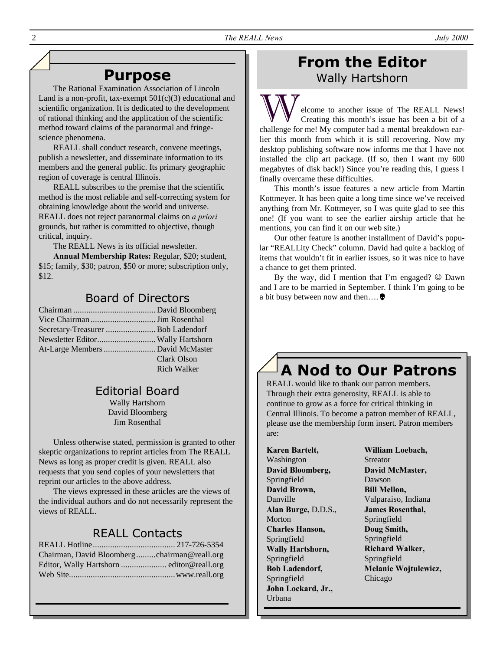## **Purpose**

The Rational Examination Association of Lincoln Land is a non-profit, tax-exempt  $501(c)(3)$  educational and scientific organization. It is dedicated to the development of rational thinking and the application of the scientific method toward claims of the paranormal and fringescience phenomena.

REALL shall conduct research, convene meetings, publish a newsletter, and disseminate information to its members and the general public. Its primary geographic region of coverage is central Illinois.

REALL subscribes to the premise that the scientific method is the most reliable and self-correcting system for obtaining knowledge about the world and universe. REALL does not reject paranormal claims on *a priori* grounds, but rather is committed to objective, though critical, inquiry.

The REALL News is its official newsletter.

**Annual Membership Rates:** Regular, \$20; student, \$15; family, \$30; patron, \$50 or more; subscription only, \$12.

## Board of Directors

| Secretary-Treasurer  Bob Ladendorf |             |
|------------------------------------|-------------|
|                                    |             |
|                                    |             |
|                                    | Clark Olson |
|                                    | Rich Walker |
|                                    |             |

### Editorial Board

Wally Hartshorn David Bloomberg Jim Rosenthal

Unless otherwise stated, permission is granted to other skeptic organizations to reprint articles from The REALL News as long as proper credit is given. REALL also requests that you send copies of your newsletters that reprint our articles to the above address.

The views expressed in these articles are the views of the individual authors and do not necessarily represent the views of REALL.

### REALL Contacts

| Chairman, David Bloombergchairman@reall.org |  |
|---------------------------------------------|--|
|                                             |  |
|                                             |  |

## **From the Editor** Wally Hartshorn

elcome to another issue of The REALL News! Creating this month's issue has been a bit of a challenge for me! My computer had a mental breakdown earlier this month from which it is still recovering. Now my desktop publishing software now informs me that I have not installed the clip art package. (If so, then I want my 600 megabytes of disk back!) Since you're reading this, I guess I finally overcame these difficulties.

This month's issue features a new article from Martin Kottmeyer. It has been quite a long time since we've received anything from Mr. Kottmeyer, so I was quite glad to see this one! (If you want to see the earlier airship article that he mentions, you can find it on our web site.)

Our other feature is another installment of David's popular "REALLity Check" column. David had quite a backlog of items that wouldn't fit in earlier issues, so it was nice to have a chance to get them printed.

By the way, did I mention that I'm engaged?  $\odot$  Dawn and I are to be married in September. I think I'm going to be a bit busy between now and then….Ö

# **A Nod to Our Patrons**

REALL would like to thank our patron members. Through their extra generosity, REALL is able to continue to grow as a force for critical thinking in Central Illinois. To become a patron member of REALL, please use the membership form insert. Patron members are:

**Karen Bartelt,** Washington **David Bloomberg,** Springfield **David Brown,** Danville **Alan Burge,** D.D.S., Morton **Charles Hanson,** Springfield **Wally Hartshorn,** Springfield **Bob Ladendorf,** Springfield **John Lockard, Jr.,** Urbana

**William Loebach,** Streator **David McMaster,** Dawson **Bill Mellon,** Valparaiso, Indiana **James Rosenthal,** Springfield **Doug Smith,** Springfield **Richard Walker,** Springfield **Melanie Wojtulewicz,** Chicago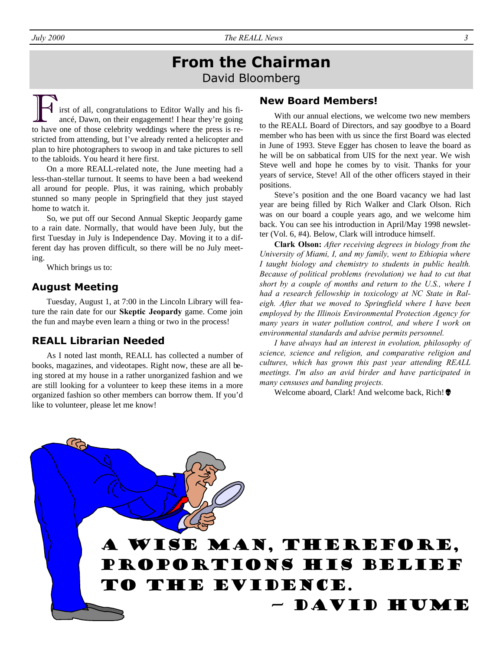## **From the Chairman** David Bloomberg

irst of all, congratulations to Editor Wally and his fiancé, Dawn, on their engagement! I hear they're going to have one of those celebrity weddings where the press is restricted from attending, but I've already rented a helicopter and plan to hire photographers to swoop in and take pictures to sell to the tabloids. You heard it here first.

On a more REALL-related note, the June meeting had a less-than-stellar turnout. It seems to have been a bad weekend all around for people. Plus, it was raining, which probably stunned so many people in Springfield that they just stayed home to watch it.

So, we put off our Second Annual Skeptic Jeopardy game to a rain date. Normally, that would have been July, but the first Tuesday in July is Independence Day. Moving it to a different day has proven difficult, so there will be no July meeting.

Which brings us to:

#### **August Meeting**

Tuesday, August 1, at 7:00 in the Lincoln Library will feature the rain date for our **Skeptic Jeopardy** game. Come join the fun and maybe even learn a thing or two in the process!

#### **REALL Librarian Needed**

As I noted last month, REALL has collected a number of books, magazines, and videotapes. Right now, these are all being stored at my house in a rather unorganized fashion and we are still looking for a volunteer to keep these items in a more organized fashion so other members can borrow them. If you'd like to volunteer, please let me know!

#### **New Board Members!**

With our annual elections, we welcome two new members to the REALL Board of Directors, and say goodbye to a Board member who has been with us since the first Board was elected in June of 1993. Steve Egger has chosen to leave the board as he will be on sabbatical from UIS for the next year. We wish Steve well and hope he comes by to visit. Thanks for your years of service, Steve! All of the other officers stayed in their positions.

Steve's position and the one Board vacancy we had last year are being filled by Rich Walker and Clark Olson. Rich was on our board a couple years ago, and we welcome him back. You can see his introduction in April/May 1998 newsletter (Vol. 6, #4). Below, Clark will introduce himself.

**Clark Olson:** *After receiving degrees in biology from the University of Miami, I, and my family, went to Ethiopia where I taught biology and chemistry to students in public health. Because of political problems (revolution) we had to cut that short by a couple of months and return to the U.S., where I had a research fellowship in toxicology at NC State in Raleigh. After that we moved to Springfield where I have been employed by the Illinois Environmental Protection Agency for many years in water pollution control, and where I work on environmental standards and advise permits personnel.* 

*I have always had an interest in evolution, philosophy of science, science and religion, and comparative religion and cultures, which has grown this past year attending REALL meetings. I'm also an avid birder and have participated in many censuses and banding projects.*

Welcome aboard, Clark! And welcome back, Rich!

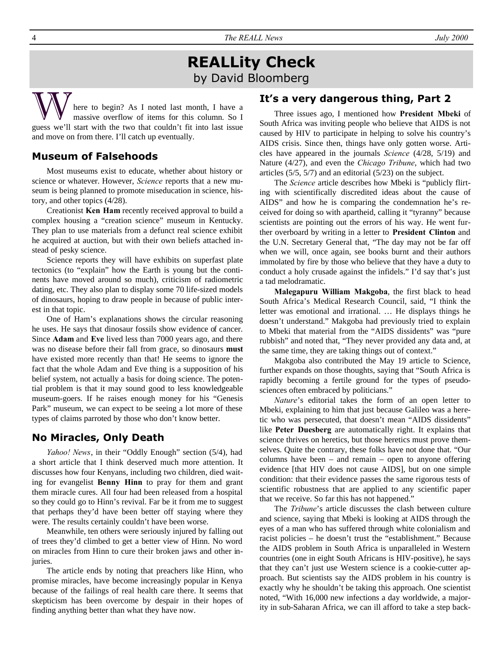4 *The REALL News July 2000*

## **REALLity Check** by David Bloomberg

here to begin? As I noted last month, I have a massive overflow of items for this column. So I guess we'll start with the two that couldn't fit into last issue and move on from there. I'll catch up eventually.

#### **Museum of Falsehoods**

Most museums exist to educate, whether about history or science or whatever. However, *Science* reports that a new museum is being planned to promote miseducation in science, history, and other topics (4/28).

Creationist **Ken Ham** recently received approval to build a complex housing a "creation science" museum in Kentucky. They plan to use materials from a defunct real science exhibit he acquired at auction, but with their own beliefs attached instead of pesky science.

Science reports they will have exhibits on superfast plate tectonics (to "explain" how the Earth is young but the continents have moved around so much), criticism of radiometric dating, etc. They also plan to display some 70 life-sized models of dinosaurs, hoping to draw people in because of public interest in that topic.

One of Ham's explanations shows the circular reasoning he uses. He says that dinosaur fossils show evidence of cancer. Since **Adam** and **Eve** lived less than 7000 years ago, and there was no disease before their fall from grace, so dinosaurs **must** have existed more recently than that! He seems to ignore the fact that the whole Adam and Eve thing is a supposition of his belief system, not actually a basis for doing science. The potential problem is that it may sound good to less knowledgeable museum-goers. If he raises enough money for his "Genesis Park" museum, we can expect to be seeing a lot more of these types of claims parroted by those who don't know better.

#### **No Miracles, Only Death**

*Yahoo! News*, in their "Oddly Enough" section (5/4), had a short article that I think deserved much more attention. It discusses how four Kenyans, including two children, died waiting for evangelist **Benny Hinn** to pray for them and grant them miracle cures. All four had been released from a hospital so they could go to Hinn's revival. Far be it from me to suggest that perhaps they'd have been better off staying where they were. The results certainly couldn't have been worse.

Meanwhile, ten others were seriously injured by falling out of trees they'd climbed to get a better view of Hinn. No word on miracles from Hinn to cure their broken jaws and other injuries.

The article ends by noting that preachers like Hinn, who promise miracles, have become increasingly popular in Kenya because of the failings of real health care there. It seems that skepticism has been overcome by despair in their hopes of finding anything better than what they have now.

#### **It's a very dangerous thing, Part 2**

Three issues ago, I mentioned how **President Mbeki** of South Africa was inviting people who believe that AIDS is not caused by HIV to participate in helping to solve his country's AIDS crisis. Since then, things have only gotten worse. Articles have appeared in the journals *Science* (4/28, 5/19) and Nature (4/27), and even the *Chicago Tribune*, which had two articles (5/5, 5/7) and an editorial (5/23) on the subject.

The *Science* article describes how Mbeki is "publicly flirting with scientifically discredited ideas about the cause of AIDS" and how he is comparing the condemnation he's received for doing so with apartheid, calling it "tyranny" because scientists are pointing out the errors of his way. He went further overboard by writing in a letter to **President Clinton** and the U.N. Secretary General that, "The day may not be far off when we will, once again, see books burnt and their authors immolated by fire by those who believe that they have a duty to conduct a holy crusade against the infidels." I'd say that's just a tad melodramatic.

**Malegapuru William Makgoba**, the first black to head South Africa's Medical Research Council, said, "I think the letter was emotional and irrational. … He displays things he doesn't understand." Makgoba had previously tried to explain to Mbeki that material from the "AIDS dissidents" was "pure rubbish" and noted that, "They never provided any data and, at the same time, they are taking things out of context."

Makgoba also contributed the May 19 article to Science, further expands on those thoughts, saying that "South Africa is rapidly becoming a fertile ground for the types of pseudosciences often embraced by politicians."

*Nature*'s editorial takes the form of an open letter to Mbeki, explaining to him that just because Galileo was a heretic who was persecuted, that doesn't mean "AIDS dissidents" like **Peter Duesberg** are automatically right. It explains that science thrives on heretics, but those heretics must prove themselves. Quite the contrary, these folks have not done that. "Our columns have been – and remain – open to anyone offering evidence [that HIV does not cause AIDS], but on one simple condition: that their evidence passes the same rigorous tests of scientific robustness that are applied to any scientific paper that we receive. So far this has not happened."

The *Tribune*'s article discusses the clash between culture and science, saying that Mbeki is looking at AIDS through the eyes of a man who has suffered through white colonialism and racist policies – he doesn't trust the "establishment." Because the AIDS problem in South Africa is unparalleled in Western countries (one in eight South Africans is HIV-positive), he says that they can't just use Western science is a cookie-cutter approach. But scientists say the AIDS problem in his country is exactly why he shouldn't be taking this approach. One scientist noted, "With 16,000 new infections a day worldwide, a majority in sub-Saharan Africa, we can ill afford to take a step back-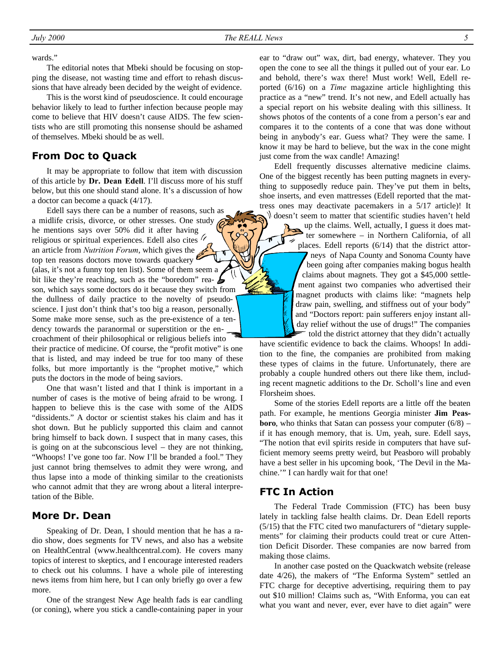wards."

The editorial notes that Mbeki should be focusing on stopping the disease, not wasting time and effort to rehash discussions that have already been decided by the weight of evidence.

This is the worst kind of pseudoscience. It could encourage behavior likely to lead to further infection because people may come to believe that HIV doesn't cause AIDS. The few scientists who are still promoting this nonsense should be ashamed of themselves. Mbeki should be as well.

#### **From Doc to Quack**

It may be appropriate to follow that item with discussion of this article by **Dr. Dean Edell**. I'll discuss more of his stuff below, but this one should stand alone. It's a discussion of how a doctor can become a quack (4/17).

Edell says there can be a number of reasons, such as a midlife crisis, divorce, or other stresses. One study he mentions says over 50% did it after having religious or spiritual experiences. Edell also cites <sup>//</sup> an article from *Nutrition Forum*, which gives the top ten reasons doctors move towards quackery (alas, it's not a funny top ten list). Some of them seem a bit like they're reaching, such as the "boredom" rea- $\triangleright$ son, which says some doctors do it because they switch from the dullness of daily practice to the novelty of pseudoscience. I just don't think that's too big a reason, personally. Some make more sense, such as the pre-existence of a tendency towards the paranormal or superstition or the encroachment of their philosophical or religious beliefs into their practice of medicine. Of course, the "profit motive" is one that is listed, and may indeed be true for too many of these folks, but more importantly is the "prophet motive," which puts the doctors in the mode of being saviors.

One that wasn't listed and that I think is important in a number of cases is the motive of being afraid to be wrong. I happen to believe this is the case with some of the AIDS "dissidents." A doctor or scientist stakes his claim and has it shot down. But he publicly supported this claim and cannot bring himself to back down. I suspect that in many cases, this is going on at the subconscious level – they are not thinking, "Whoops! I've gone too far. Now I'll be branded a fool." They just cannot bring themselves to admit they were wrong, and thus lapse into a mode of thinking similar to the creationists who cannot admit that they are wrong about a literal interpretation of the Bible.

#### **More Dr. Dean**

Speaking of Dr. Dean, I should mention that he has a radio show, does segments for TV news, and also has a website on HealthCentral (www.healthcentral.com). He covers many topics of interest to skeptics, and I encourage interested readers to check out his columns. I have a whole pile of interesting news items from him here, but I can only briefly go over a few more.

One of the strangest New Age health fads is ear candling (or coning), where you stick a candle-containing paper in your ear to "draw out" wax, dirt, bad energy, whatever. They you open the cone to see all the things it pulled out of your ear. Lo and behold, there's wax there! Must work! Well, Edell reported (6/16) on a *Time* magazine article highlighting this practice as a "new" trend. It's not new, and Edell actually has a special report on his website dealing with this silliness. It shows photos of the contents of a cone from a person's ear and compares it to the contents of a cone that was done without being in anybody's ear. Guess what? They were the same. I know it may be hard to believe, but the wax in the cone might just come from the wax candle! Amazing!

Edell frequently discusses alternative medicine claims. One of the biggest recently has been putting magnets in everything to supposedly reduce pain. They've put them in belts, shoe inserts, and even mattresses (Edell reported that the mattress ones may deactivate pacemakers in a 5/17 article)! It doesn't seem to matter that scientific studies haven't held

> up the claims. Well, actually, I guess it does matter somewhere – in Northern California, of all places. Edell reports (6/14) that the district attorneys of Napa County and Sonoma County have been going after companies making bogus health claims about magnets. They got a \$45,000 settlement against two companies who advertised their magnet products with claims like: "magnets help draw pain, swelling, and stiffness out of your body" and "Doctors report: pain sufferers enjoy instant allday relief without the use of drugs!" The companies told the district attorney that they didn't actually

have scientific evidence to back the claims. Whoops! In addition to the fine, the companies are prohibited from making these types of claims in the future. Unfortunately, there are probably a couple hundred others out there like them, including recent magnetic additions to the Dr. Scholl's line and even Florsheim shoes.

Some of the stories Edell reports are a little off the beaten path. For example, he mentions Georgia minister **Jim Peasboro**, who thinks that Satan can possess your computer (6/8) – if it has enough memory, that is. Um, yeah, sure. Edell says, "The notion that evil spirits reside in computers that have sufficient memory seems pretty weird, but Peasboro will probably have a best seller in his upcoming book, 'The Devil in the Machine.'" I can hardly wait for that one!

#### **FTC In Action**

The Federal Trade Commission (FTC) has been busy lately in tackling false health claims. Dr. Dean Edell reports (5/15) that the FTC cited two manufacturers of "dietary supplements" for claiming their products could treat or cure Attention Deficit Disorder. These companies are now barred from making those claims.

In another case posted on the Quackwatch website (release date 4/26), the makers of "The Enforma System" settled an FTC charge for deceptive advertising, requiring them to pay out \$10 million! Claims such as, "With Enforma, you can eat what you want and never, ever, ever have to diet again" were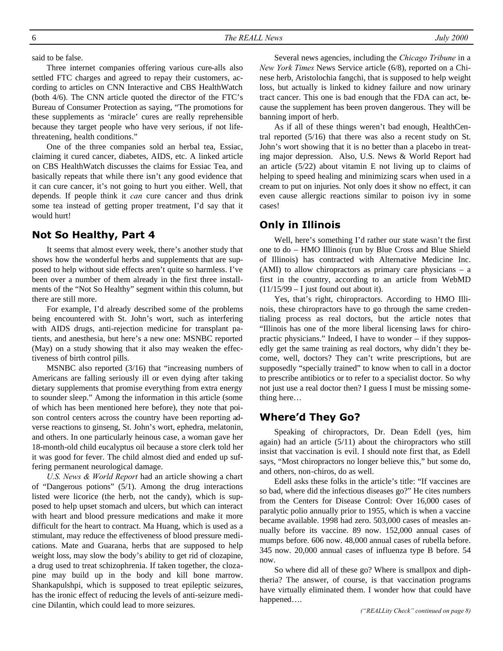said to be false.

Three internet companies offering various cure-alls also settled FTC charges and agreed to repay their customers, according to articles on CNN Interactive and CBS HealthWatch (both 4/6). The CNN article quoted the director of the FTC's Bureau of Consumer Protection as saying, "The promotions for these supplements as 'miracle' cures are really reprehensible because they target people who have very serious, if not lifethreatening, health conditions."

One of the three companies sold an herbal tea, Essiac, claiming it cured cancer, diabetes, AIDS, etc. A linked article on CBS HealthWatch discusses the claims for Essiac Tea, and basically repeats that while there isn't any good evidence that it can cure cancer, it's not going to hurt you either. Well, that depends. If people think it *can* cure cancer and thus drink some tea instead of getting proper treatment, I'd say that it would hurt!

#### **Not So Healthy, Part 4**

It seems that almost every week, there's another study that shows how the wonderful herbs and supplements that are supposed to help without side effects aren't quite so harmless. I've been over a number of them already in the first three installments of the "Not So Healthy" segment within this column, but there are still more.

For example, I'd already described some of the problems being encountered with St. John's wort, such as interfering with AIDS drugs, anti-rejection medicine for transplant patients, and anesthesia, but here's a new one: MSNBC reported (May) on a study showing that it also may weaken the effectiveness of birth control pills.

MSNBC also reported (3/16) that "increasing numbers of Americans are falling seriously ill or even dying after taking dietary supplements that promise everything from extra energy to sounder sleep." Among the information in this article (some of which has been mentioned here before), they note that poison control centers across the country have been reporting adverse reactions to ginseng, St. John's wort, ephedra, melatonin, and others. In one particularly heinous case, a woman gave her 18-month-old child eucalyptus oil because a store clerk told her it was good for fever. The child almost died and ended up suffering permanent neurological damage.

*U.S. News & World Report* had an article showing a chart of "Dangerous potions" (5/1). Among the drug interactions listed were licorice (the herb, not the candy), which is supposed to help upset stomach and ulcers, but which can interact with heart and blood pressure medications and make it more difficult for the heart to contract. Ma Huang, which is used as a stimulant, may reduce the effectiveness of blood pressure medications. Mate and Guarana, herbs that are supposed to help weight loss, may slow the body's ability to get rid of clozapine, a drug used to treat schizophrenia. If taken together, the clozapine may build up in the body and kill bone marrow. Shankapulshpi, which is supposed to treat epileptic seizures, has the ironic effect of reducing the levels of anti-seizure medicine Dilantin, which could lead to more seizures.

Several news agencies, including the *Chicago Tribune* in a *New York Times* News Service article (6/8), reported on a Chinese herb, Aristolochia fangchi, that is supposed to help weight loss, but actually is linked to kidney failure and now urinary tract cancer. This one is bad enough that the FDA can act, because the supplement has been proven dangerous. They will be banning import of herb.

As if all of these things weren't bad enough, HealthCentral reported (5/16) that there was also a recent study on St. John's wort showing that it is no better than a placebo in treating major depression. Also, U.S. News & World Report had an article  $(5/22)$  about vitamin E not living up to claims of helping to speed healing and minimizing scars when used in a cream to put on injuries. Not only does it show no effect, it can even cause allergic reactions similar to poison ivy in some cases!

#### **Only in Illinois**

Well, here's something I'd rather our state wasn't the first one to do – HMO Illinois (run by Blue Cross and Blue Shield of Illinois) has contracted with Alternative Medicine Inc. (AMI) to allow chiropractors as primary care physicians – a first in the country, according to an article from WebMD  $(11/15/99 - I$  just found out about it).

Yes, that's right, chiropractors. According to HMO Illinois, these chiropractors have to go through the same credentialing process as real doctors, but the article notes that "Illinois has one of the more liberal licensing laws for chiropractic physicians." Indeed, I have to wonder – if they supposedly get the same training as real doctors, why didn't they become, well, doctors? They can't write prescriptions, but are supposedly "specially trained" to know when to call in a doctor to prescribe antibiotics or to refer to a specialist doctor. So why not just use a real doctor then? I guess I must be missing something here…

#### **Where'd They Go?**

Speaking of chiropractors, Dr. Dean Edell (yes, him again) had an article (5/11) about the chiropractors who still insist that vaccination is evil. I should note first that, as Edell says, "Most chiropractors no longer believe this," but some do, and others, non-chiros, do as well.

Edell asks these folks in the article's title: "If vaccines are so bad, where did the infectious diseases go?" He cites numbers from the Centers for Disease Control: Over 16,000 cases of paralytic polio annually prior to 1955, which is when a vaccine became available. 1998 had zero. 503,000 cases of measles annually before its vaccine. 89 now. 152,000 annual cases of mumps before. 606 now. 48,000 annual cases of rubella before. 345 now. 20,000 annual cases of influenza type B before. 54 now.

So where did all of these go? Where is smallpox and diphtheria? The answer, of course, is that vaccination programs have virtually eliminated them. I wonder how that could have happened….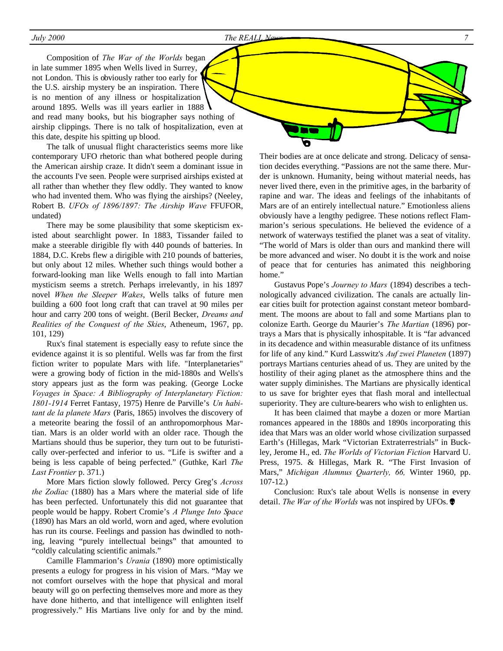Composition of *The War of the Worlds* began in late summer 1895 when Wells lived in Surrey, not London. This is obviously rather too early for the U.S. airship mystery be an inspiration. There is no mention of any illness or hospitalization around 1895. Wells was ill years earlier in 1888 and read many books, but his biographer says nothing of airship clippings. There is no talk of hospitalization, even at this date, despite his spitting up blood.

The talk of unusual flight characteristics seems more like contemporary UFO rhetoric than what bothered people during the American airship craze. It didn't seem a dominant issue in the accounts I've seen. People were surprised airships existed at all rather than whether they flew oddly. They wanted to know who had invented them. Who was flying the airships? (Neeley, Robert B. *UFOs of 1896/1897: The Airship Wave* FFUFOR, undated)

There may be some plausibility that some skepticism existed about searchlight power. In 1883, Tissander failed to make a steerable dirigible fly with 440 pounds of batteries. In 1884, D.C. Krebs flew a dirigible with 210 pounds of batteries, but only about 12 miles. Whether such things would bother a forward-looking man like Wells enough to fall into Martian mysticism seems a stretch. Perhaps irrelevantly, in his 1897 novel *When the Sleeper Wakes*, Wells talks of future men building a 600 foot long craft that can travel at 90 miles per hour and carry 200 tons of weight. (Beril Becker, *Dreams and Realities of the Conquest of the Skies*, Atheneum, 1967, pp. 101, 129)

Rux's final statement is especially easy to refute since the evidence against it is so plentiful. Wells was far from the first fiction writer to populate Mars with life. "Interplanetaries" were a growing body of fiction in the mid-1880s and Wells's story appears just as the form was peaking. (George Locke *Voyages in Space: A Bibliography of Interplanetary Fiction: 1801-1914* Ferret Fantasy, 1975) Henre de Parville's *Un habitant de la planete Mars* (Paris, 1865) involves the discovery of a meteorite bearing the fossil of an anthropomorphous Martian. Mars is an older world with an older race. Though the Martians should thus be superior, they turn out to be futuristically over-perfected and inferior to us. "Life is swifter and a being is less capable of being perfected." (Guthke, Karl *The Last Frontier* p. 371.)

More Mars fiction slowly followed. Percy Greg's *Across the Zodiac* (1880) has a Mars where the material side of life has been perfected. Unfortunately this did not guarantee that people would be happy. Robert Cromie's *A Plunge Into Space* (1890) has Mars an old world, worn and aged, where evolution has run its course. Feelings and passion has dwindled to nothing, leaving "purely intellectual beings" that amounted to "coldly calculating scientific animals."

Camille Flammarion's *Urania* (1890) more optimistically presents a eulogy for progress in his vision of Mars. "May we not comfort ourselves with the hope that physical and moral beauty will go on perfecting themselves more and more as they have done hitherto, and that intelligence will enlighten itself progressively." His Martians live only for and by the mind. Their bodies are at once delicate and strong. Delicacy of sensation decides everything. "Passions are not the same there. Murder is unknown. Humanity, being without material needs, has never lived there, even in the primitive ages, in the barbarity of rapine and war. The ideas and feelings of the inhabitants of Mars are of an entirely intellectual nature." Emotionless aliens obviously have a lengthy pedigree. These notions reflect Flammarion's serious speculations. He believed the evidence of a network of waterways testified the planet was a seat of vitality. "The world of Mars is older than ours and mankind there will be more advanced and wiser. No doubt it is the work and noise of peace that for centuries has animated this neighboring home."

Gustavus Pope's *Journey to Mars* (1894) describes a technologically advanced civilization. The canals are actually linear cities built for protection against constant meteor bombardment. The moons are about to fall and some Martians plan to colonize Earth. George du Maurier's *The Martian* (1896) portrays a Mars that is physically inhospitable. It is "far advanced in its decadence and within measurable distance of its unfitness for life of any kind." Kurd Lasswitz's *Auf zwei Planeten* (1897) portrays Martians centuries ahead of us. They are united by the hostility of their aging planet as the atmosphere thins and the water supply diminishes. The Martians are physically identical to us save for brighter eyes that flash moral and intellectual superiority. They are culture-bearers who wish to enlighten us.

It has been claimed that maybe a dozen or more Martian romances appeared in the 1880s and 1890s incorporating this idea that Mars was an older world whose civilization surpassed Earth's (Hillegas, Mark "Victorian Extraterrestrials" in Buckley, Jerome H., ed. *The Worlds of Victorian Fiction* Harvard U. Press, 1975. & Hillegas, Mark R. "The First Invasion of Mars," *Michigan Alumnus Quarterly, 66,* Winter 1960, pp. 107-12.)

Conclusion: Rux's tale about Wells is nonsense in every detail. *The War of the Worlds* was not inspired by UFOs.Ö